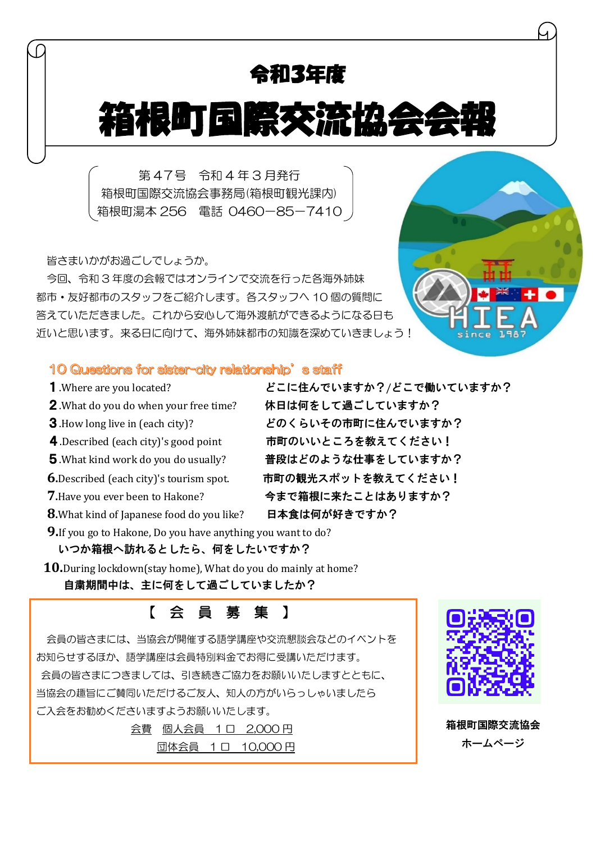# 令和3年度

# 箱体设置工作

第 47号 令和 4 年 3 月発行 箱根町国際交流協会事務局(箱根町観光課内) 箱根町湯本 256 電話 0460-85-7410

皆さまいかがお過ごしでしょうか。

今回、令和 3 年度の会報ではオンラインで交流を行った各海外姉妹 都市・友好都市のスタッフをご紹介します。各スタッフへ 10 個の質問に 答えていただきました。これから安心して海外渡航ができるようになる日も 近いと思います。来る日に向けて、海外姉妹都市の知識を深めていきましょう!



#### 10 Questions for sister-city relationship's staff

- 
- 2.What do you do when your free time? 休日は何をして過ごしていますか?
- 
- 
- 
- 
- 
- **8.**What kind of Japanese food do you like? 日本食は何が好きですか?

.Where are you located? どこに住んでいますか?/どこで働いていますか? .How long live in (each city)? どのくらいその市町に住んでいますか? 4.Described (each city)'s good point 市町のいいところを教えてください! .What kind work do you do usually? 普段はどのような仕事をしていますか? **.**Described (each city)'s tourism spot. 市町の観光スポットを教えてください! **.**Have you ever been to Hakone? 今まで箱根に来たことはありますか?

- **9.**If you go to Hakone, Do you have anything you want to do?
	- いつか箱根へ訪れるとしたら、何をしたいですか?
- **10.**During lockdown(stay home), What do you do mainly at home? 自粛期間中は、主に何をして過ごしていましたか?

### こんじょう しょうしょう にっぽん くろう 真の 募り集 】

会員の皆さまには、当協会が開催する語学講座や交流懇談会などのイベントを お知らせするほか、語学講座は会員特別料金でお得に受講いただけます。 会員の皆さまにつきましては、引き続きご協力をお願いいたしますとともに、 当協会の趣旨にご賛同いただけるご友人、知人の方がいらっしゃいましたら ご入会をお勧めくださいますようお願いいたします。

> 会費 個人会員 1 口 2,000 円 団体会員 1 口 10,000 円



箱根町国際交流協会 ホームページ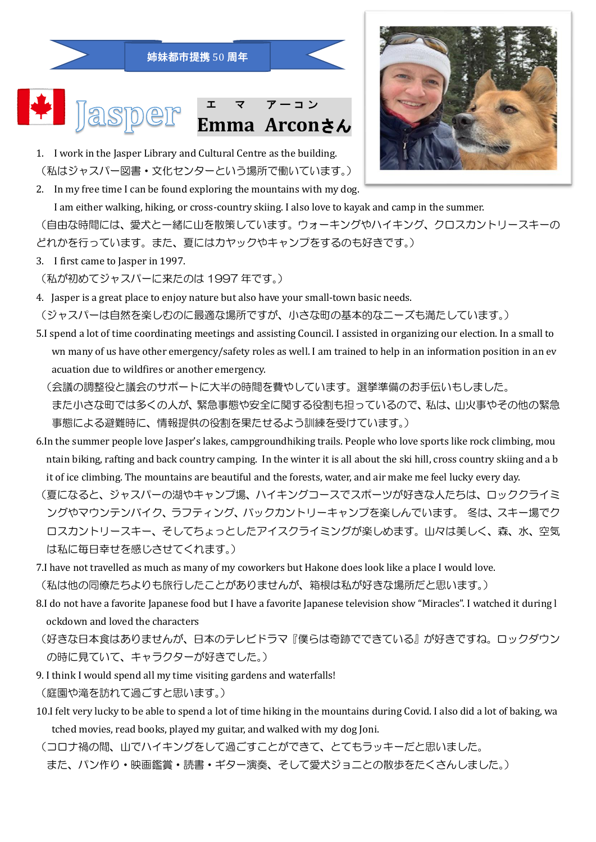





- 1. I work in the Jasper Library and Cultural Centre as the building. (私はジャスパー図書・文化センターという場所で働いています。)
- 2. In my free time I can be found exploring the mountains with my dog. I am either walking, hiking, or cross-country skiing. I also love to kayak and camp in the summer.

(自由な時間には、愛犬と一緒に山を散策しています。ウォーキングやハイキング、クロスカントリースキーの どれかを行っています。また、夏にはカヤックやキャンプをするのも好きです。)

- 3. I first came to Jasper in 1997.
- (私が初めてジャスパーに来たのは 1997 年です。)
- 4. Jasper is a great place to enjoy nature but also have your small-town basic needs.
- (ジャスパーは自然を楽しむのに最適な場所ですが、小さな町の基本的なニーズも満たしています。)
- 5.I spend a lot of time coordinating meetings and assisting Council. I assisted in organizing our election. In a small to wn many of us have other emergency/safety roles as well. I am trained to help in an information position in an ev acuation due to wildfires or another emergency.
	- (会議の調整役と議会のサポートに大半の時間を費やしています。選挙準備のお手伝いもしました。 また小さな町では多くの人が、緊急事態や安全に関する役割も担っているので、私は、山火事やその他の緊急 事態による避難時に、情報提供の役割を果たせるよう訓練を受けています。)
- 6.In the summer people love Jasper's lakes, campgroundhiking trails. People who love sports like rock climbing, mou ntain biking, rafting and back country camping. In the winter it is all about the ski hill, cross country skiing and a b it of ice climbing. The mountains are beautiful and the forests, water, and air make me feel lucky every day.
- (夏になると、ジャスパーの湖やキャンプ場、ハイキングコースでスポーツが好きな人たちは、ロッククライミ ングやマウンテンバイク、ラフティング、バックカントリーキャンプを楽しんでいます。 冬は、スキー場でク ロスカントリースキー、そしてちょっとしたアイスクライミングが楽しめます。山々は美しく、森、水、空気 は私に毎日幸せを感じさせてくれます。)
- 7.I have not travelled as much as many of my coworkers but Hakone does look like a place I would love. (私は他の同僚たちよりも旅行したことがありませんが、箱根は私が好きな場所だと思います。)
- 8.I do not have a favorite Japanese food but I have a favorite Japanese television show "Miracles". I watched it during l ockdown and loved the characters
- (好きな日本食はありませんが、日本のテレビドラマ『僕らは奇跡でできている』が好きですね。ロックダウン の時に見ていて、キャラクターが好きでした。)
- 9. I think I would spend all my time visiting gardens and waterfalls! (庭園や滝を訪れて過ごすと思います。)
- 10.I felt very lucky to be able to spend a lot of time hiking in the mountains during Covid. I also did a lot of baking, wa tched movies, read books, played my guitar, and walked with my dog Joni.
- (コロナ禍の間、山でハイキングをして過ごすことができて、とてもラッキーだと思いました。 また、パン作り・映画鑑賞・読書・ギター演奏、そして愛犬ジョニとの散歩をたくさんしました。)

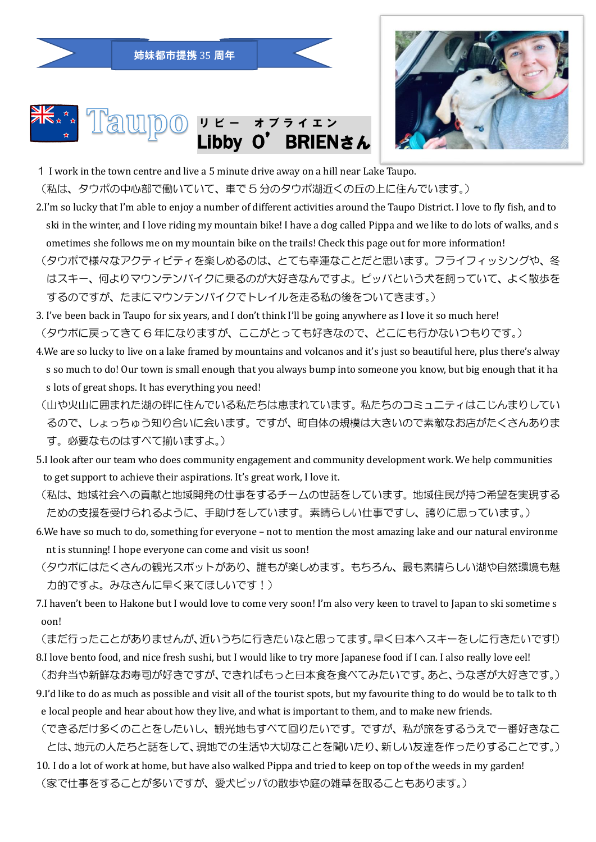姉妹都市提携 35 周年





1 I work in the town centre and live a 5 minute drive away on a hill near Lake Taupo.

(私は、タウポの中心部で働いていて、車で 5 分のタウポ湖近くの丘の上に住んでいます。)

- 2.I'm so lucky that I'm able to enjoy a number of different activities around the Taupo District. I love to fly fish, and to ski in the winter, and I love riding my mountain bike! I have a dog called Pippa and we like to do lots of walks, and s ometimes she follows me on my mountain bike on the trails! Check this page out for more information!
- (タウポで様々なアクティビティを楽しめるのは、とても幸運なことだと思います。フライフィッシングや、冬 はスキー、何よりマウンテンバイクに乗るのが大好きなんですよ。ピッパという犬を飼っていて、よく散歩を するのですが、たまにマウンテンバイクでトレイルを走る私の後をついてきます。)
- 3. I've been back in Taupo for six years, and I don't think I'll be going anywhere as I love it so much here! (タウポに戻ってきて 6 年になりますが、ここがとっても好きなので、どこにも行かないつもりです。)
- 4.We are so lucky to live on a lake framed by mountains and volcanos and it's just so beautiful here, plus there's alway s so much to do! Our town is small enough that you always bump into someone you know, but big enough that it ha s lots of great shops. It has everything you need!
- (山や火山に囲まれた湖の畔に住んでいる私たちは恵まれています。私たちのコミュニティはこじんまりしてい るので、しょっちゅう知り合いに会います。ですが、町自体の規模は大きいので素敵なお店がたくさんありま す。必要なものはすべて揃いますよ。)
- 5.I look after our team who does community engagement and community development work. We help communities to get support to achieve their aspirations. It's great work, I love it.
- (私は、地域社会への貢献と地域開発の仕事をするチームの世話をしています。地域住民が持つ希望を実現する ための支援を受けられるように、手助けをしています。素晴らしい仕事ですし、誇りに思っています。)
- 6.We have so much to do, something for everyone not to mention the most amazing lake and our natural environme nt is stunning! I hope everyone can come and visit us soon!
- (タウポにはたくさんの観光スポットがあり、誰もが楽しめます。もちろん、最も素晴らしい湖や自然環境も魅 力的ですよ。みなさんに早く来てほしいです!)
- 7.I haven't been to Hakone but I would love to come very soon! I'm also very keen to travel to Japan to ski sometime s oon!
- (まだ行ったことがありませんが、近いうちに行きたいなと思ってます。早く日本へスキーをしに行きたいです!) 8.I love bento food, and nice fresh sushi, but I would like to try more Japanese food if I can. I also really love eel!
- (お弁当や新鮮なお寿司が好きですが、できればもっと日本食を食べてみたいです。あと、うなぎが大好きです。) 9.I'd like to do as much as possible and visit all of the tourist spots, but my favourite thing to do would be to talk to th e local people and hear about how they live, and what is important to them, and to make new friends.
- (できるだけ多くのことをしたいし、観光地もすべて回りたいです。ですが、私が旅をするうえで一番好きなこ とは、地元の人たちと話をして、現地での生活や大切なことを聞いたり、新しい友達を作ったりすることです。)
- 10. I do a lot of work at home, but have also walked Pippa and tried to keep on top of the weeds in my garden! (家で仕事をすることが多いですが、愛犬ピッパの散歩や庭の雑草を取ることもあります。)